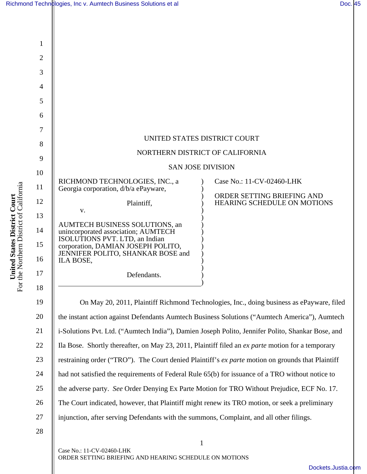|                                                                                           |                | Richmond Technologies, Inc v. Aumtech Business Solutions et al                                                                                         |                           | Doc. 45 |
|-------------------------------------------------------------------------------------------|----------------|--------------------------------------------------------------------------------------------------------------------------------------------------------|---------------------------|---------|
|                                                                                           |                |                                                                                                                                                        |                           |         |
| <b>tted States District Court</b><br>Northern District of California<br>Unit<br>For the N | $\mathbf{1}$   |                                                                                                                                                        |                           |         |
|                                                                                           | $\overline{2}$ |                                                                                                                                                        |                           |         |
|                                                                                           | 3              |                                                                                                                                                        |                           |         |
|                                                                                           | $\overline{4}$ |                                                                                                                                                        |                           |         |
|                                                                                           | 5              |                                                                                                                                                        |                           |         |
|                                                                                           | 6              |                                                                                                                                                        |                           |         |
|                                                                                           | 7              |                                                                                                                                                        |                           |         |
|                                                                                           | 8              | UNITED STATES DISTRICT COURT                                                                                                                           |                           |         |
|                                                                                           | 9              | NORTHERN DISTRICT OF CALIFORNIA                                                                                                                        |                           |         |
|                                                                                           | 10             | <b>SAN JOSE DIVISION</b>                                                                                                                               |                           |         |
|                                                                                           | 11             | RICHMOND TECHNOLOGIES, INC., a<br>Georgia corporation, d/b/a ePayware,                                                                                 | Case No.: 11-CV-02460-LHK |         |
|                                                                                           | 12             | ORDER SETTING BRIEFING AND<br>Plaintiff,<br>HEARING SCHEDULE ON MOTIONS<br>V.<br>AUMTECH BUSINESS SOLUTIONS, an<br>unincorporated association; AUMTECH |                           |         |
|                                                                                           | 13             |                                                                                                                                                        |                           |         |
|                                                                                           | 14             |                                                                                                                                                        |                           |         |
|                                                                                           | 15             | ISOLUTIONS PVT. LTD, an Indian<br>corporation, DAMIAN JOSEPH POLITO,                                                                                   |                           |         |
|                                                                                           | 16             | JENNIFER POLITO, SHANKAR BOSE and<br>ILA BOSE,                                                                                                         |                           |         |
|                                                                                           | 17             | Defendants.                                                                                                                                            |                           |         |
|                                                                                           | 18             |                                                                                                                                                        |                           |         |
|                                                                                           | 19             | On May 20, 2011, Plaintiff Richmond Technologies, Inc., doing business as ePayware, filed                                                              |                           |         |
|                                                                                           | 20             | the instant action against Defendants Aumtech Business Solutions ("Aumtech America"), Aumtech                                                          |                           |         |
|                                                                                           | 21             | i-Solutions Pvt. Ltd. ("Aumtech India"), Damien Joseph Polito, Jennifer Polito, Shankar Bose, and                                                      |                           |         |
|                                                                                           | 22             | Ila Bose. Shortly thereafter, on May 23, 2011, Plaintiff filed an ex parte motion for a temporary                                                      |                           |         |
|                                                                                           | 23             | restraining order ("TRO"). The Court denied Plaintiff's ex parte motion on grounds that Plaintiff                                                      |                           |         |
|                                                                                           | 24             | had not satisfied the requirements of Federal Rule 65(b) for issuance of a TRO without notice to                                                       |                           |         |
|                                                                                           | 25             | the adverse party. See Order Denying Ex Parte Motion for TRO Without Prejudice, ECF No. 17.                                                            |                           |         |
|                                                                                           | 26             | The Court indicated, however, that Plaintiff might renew its TRO motion, or seek a preliminary                                                         |                           |         |
|                                                                                           | 27             | injunction, after serving Defendants with the summons, Complaint, and all other filings.                                                               |                           |         |
|                                                                                           | 28             |                                                                                                                                                        |                           |         |
|                                                                                           |                |                                                                                                                                                        | 1                         |         |

Case No.: 11-CV-02460-LHK ORDER SETTING BRIEFING AND HEARING SCHEDULE ON MOTIONS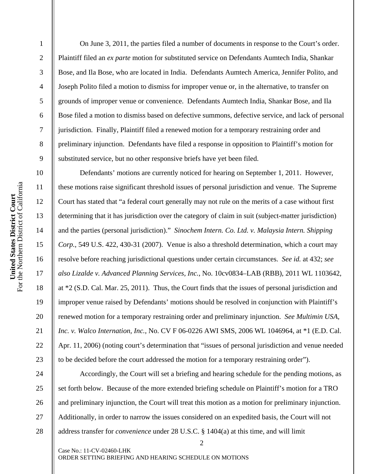6 7 8 9 10 For the Northern District of California United States District Court<br>For the Northern District of California 11 **United States District Court**  12 13 14 15 16

17

18

19

20

21

22

23

24

25

26

27

28

1

2

3

4

5

 On June 3, 2011, the parties filed a number of documents in response to the Court's order. Plaintiff filed an *ex parte* motion for substituted service on Defendants Aumtech India, Shankar Bose, and Ila Bose, who are located in India. Defendants Aumtech America, Jennifer Polito, and Joseph Polito filed a motion to dismiss for improper venue or, in the alternative, to transfer on grounds of improper venue or convenience. Defendants Aumtech India, Shankar Bose, and Ila Bose filed a motion to dismiss based on defective summons, defective service, and lack of personal jurisdiction. Finally, Plaintiff filed a renewed motion for a temporary restraining order and preliminary injunction. Defendants have filed a response in opposition to Plaintiff's motion for substituted service, but no other responsive briefs have yet been filed.

 Defendants' motions are currently noticed for hearing on September 1, 2011. However, these motions raise significant threshold issues of personal jurisdiction and venue. The Supreme Court has stated that "a federal court generally may not rule on the merits of a case without first determining that it has jurisdiction over the category of claim in suit (subject-matter jurisdiction) and the parties (personal jurisdiction)." *Sinochem Intern. Co. Ltd. v. Malaysia Intern. Shipping Corp.*, 549 U.S. 422, 430-31 (2007). Venue is also a threshold determination, which a court may resolve before reaching jurisdictional questions under certain circumstances. *See id.* at 432; *see also Lizalde v. Advanced Planning Services, Inc.*, No. 10cv0834–LAB (RBB), 2011 WL 1103642, at \*2 (S.D. Cal. Mar. 25, 2011). Thus, the Court finds that the issues of personal jurisdiction and improper venue raised by Defendants' motions should be resolved in conjunction with Plaintiff's renewed motion for a temporary restraining order and preliminary injunction. *See Multimin USA, Inc. v. Walco Internation, Inc.*, No. CV F 06-0226 AWI SMS, 2006 WL 1046964, at \*1 (E.D. Cal. Apr. 11, 2006) (noting court's determination that "issues of personal jurisdiction and venue needed to be decided before the court addressed the motion for a temporary restraining order").

 Accordingly, the Court will set a briefing and hearing schedule for the pending motions, as set forth below. Because of the more extended briefing schedule on Plaintiff's motion for a TRO and preliminary injunction, the Court will treat this motion as a motion for preliminary injunction. Additionally, in order to narrow the issues considered on an expedited basis, the Court will not address transfer for *convenience* under 28 U.S.C. § 1404(a) at this time, and will limit

2

Case No.: 11-CV-02460-LHK ORDER SETTING BRIEFING AND HEARING SCHEDULE ON MOTIONS